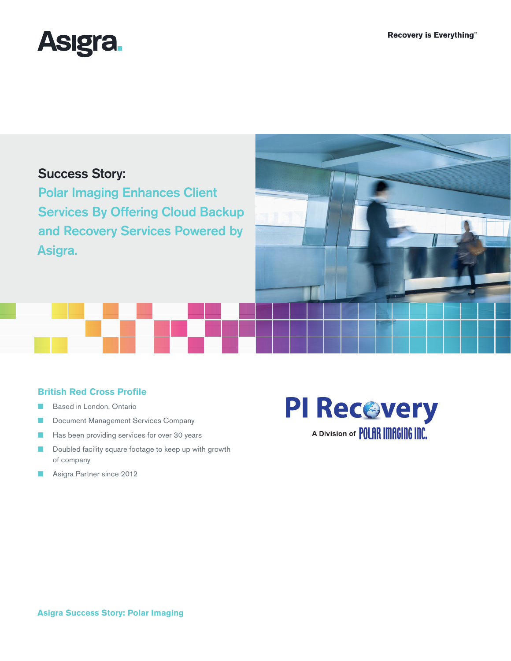

# Success Story:

Polar Imaging Enhances Client Services By Offering Cloud Backup and Recovery Services Powered by Asigra.



## **British Red Cross Profile**

- Based in London, Ontario
- **■** Document Management Services Company
- Has been providing services for over 30 years
- Doubled facility square footage to keep up with growth of company
- Asigra Partner since 2012



**Asigra Success Story: Polar Imaging**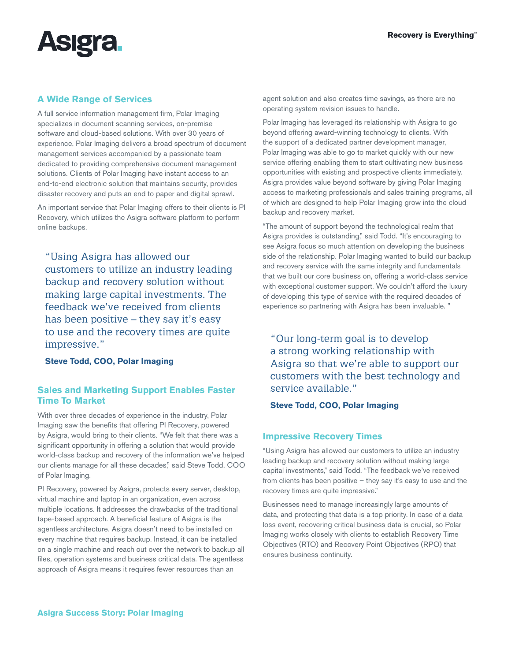

## **A Wide Range of Services**

A full service information management firm, Polar Imaging specializes in document scanning services, on-premise software and cloud-based solutions. With over 30 years of experience, Polar Imaging delivers a broad spectrum of document management services accompanied by a passionate team dedicated to providing comprehensive document management solutions. Clients of Polar Imaging have instant access to an end-to-end electronic solution that maintains security, provides disaster recovery and puts an end to paper and digital sprawl.

An important service that Polar Imaging offers to their clients is PI Recovery, which utilizes the Asigra software platform to perform online backups.

"Using Asigra has allowed our customers to utilize an industry leading backup and recovery solution without making large capital investments. The feedback we've received from clients has been positive – they say it's easy to use and the recovery times are quite impressive."

**Steve Todd, COO, Polar Imaging**

## **Sales and Marketing Support Enables Faster Time To Market**

With over three decades of experience in the industry, Polar Imaging saw the benefits that offering PI Recovery, powered by Asigra, would bring to their clients. "We felt that there was a significant opportunity in offering a solution that would provide world-class backup and recovery of the information we've helped our clients manage for all these decades," said Steve Todd, COO of Polar Imaging.

PI Recovery, powered by Asigra, protects every server, desktop, virtual machine and laptop in an organization, even across multiple locations. It addresses the drawbacks of the traditional tape-based approach. A beneficial feature of Asigra is the agentless architecture. Asigra doesn't need to be installed on every machine that requires backup. Instead, it can be installed on a single machine and reach out over the network to backup all files, operation systems and business critical data. The agentless approach of Asigra means it requires fewer resources than an

agent solution and also creates time savings, as there are no operating system revision issues to handle.

Polar Imaging has leveraged its relationship with Asigra to go beyond offering award-winning technology to clients. With the support of a dedicated partner development manager, Polar Imaging was able to go to market quickly with our new service offering enabling them to start cultivating new business opportunities with existing and prospective clients immediately. Asigra provides value beyond software by giving Polar Imaging access to marketing professionals and sales training programs, all of which are designed to help Polar Imaging grow into the cloud backup and recovery market.

"The amount of support beyond the technological realm that Asigra provides is outstanding," said Todd. "It's encouraging to see Asigra focus so much attention on developing the business side of the relationship. Polar Imaging wanted to build our backup and recovery service with the same integrity and fundamentals that we built our core business on, offering a world-class service with exceptional customer support. We couldn't afford the luxury of developing this type of service with the required decades of experience so partnering with Asigra has been invaluable. "

"Our long-term goal is to develop a strong working relationship with Asigra so that we're able to support our customers with the best technology and service available."

**Steve Todd, COO, Polar Imaging**

### **Impressive Recovery Times**

"Using Asigra has allowed our customers to utilize an industry leading backup and recovery solution without making large capital investments," said Todd. "The feedback we've received from clients has been positive – they say it's easy to use and the recovery times are quite impressive."

Businesses need to manage increasingly large amounts of data, and protecting that data is a top priority. In case of a data loss event, recovering critical business data is crucial, so Polar Imaging works closely with clients to establish Recovery Time Objectives (RTO) and Recovery Point Objectives (RPO) that ensures business continuity.